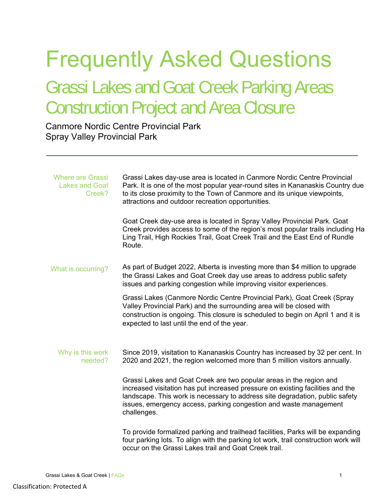## Frequently Asked Questions

## Grassi Lakes and Goat Creek Parking Areas Construction Project and Area Closure

Canmore Nordic Centre Provincial Park Spray Valley Provincial Park

| <b>Where are Grassi</b><br><b>Lakes and Goat</b><br>Creek? | Grassi Lakes day-use area is located in Canmore Nordic Centre Provincial<br>Park. It is one of the most popular year-round sites in Kananaskis Country due<br>to its close proximity to the Town of Canmore and its unique viewpoints,<br>attractions and outdoor recreation opportunities.                               |
|------------------------------------------------------------|---------------------------------------------------------------------------------------------------------------------------------------------------------------------------------------------------------------------------------------------------------------------------------------------------------------------------|
|                                                            | Goat Creek day-use area is located in Spray Valley Provincial Park. Goat<br>Creek provides access to some of the region's most popular trails including Ha<br>Ling Trail, High Rockies Trail, Goat Creek Trail and the East End of Rundle<br>Route.                                                                       |
| What is occurring?                                         | As part of Budget 2022, Alberta is investing more than \$4 million to upgrade<br>the Grassi Lakes and Goat Creek day use areas to address public safety<br>issues and parking congestion while improving visitor experiences.                                                                                             |
|                                                            | Grassi Lakes (Canmore Nordic Centre Provincial Park), Goat Creek (Spray<br>Valley Provincial Park) and the surrounding area will be closed with<br>construction is ongoing. This closure is scheduled to begin on April 1 and it is<br>expected to last until the end of the year.                                        |
| Why is this work<br>needed?                                | Since 2019, visitation to Kananaskis Country has increased by 32 per cent. In<br>2020 and 2021, the region welcomed more than 5 million visitors annually.                                                                                                                                                                |
|                                                            | Grassi Lakes and Goat Creek are two popular areas in the region and<br>increased visitation has put increased pressure on existing facilities and the<br>landscape. This work is necessary to address site degradation, public safety<br>issues, emergency access, parking congestion and waste management<br>challenges. |
|                                                            | To provide formalized parking and trailhead facilities, Parks will be expanding<br>four parking lots. To align with the parking lot work, trail construction work will<br>occur on the Grassi Lakes trail and Goat Creek trail.                                                                                           |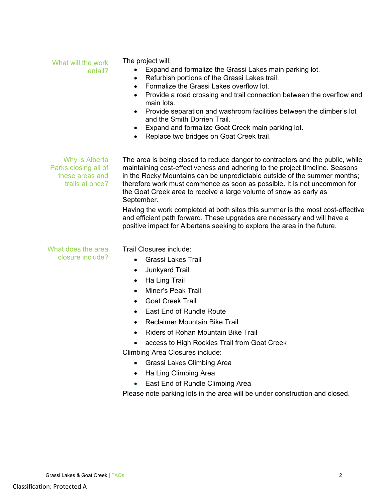| What will the work<br>entail?                                                | The project will:<br>Expand and formalize the Grassi Lakes main parking lot.<br>$\bullet$<br>Refurbish portions of the Grassi Lakes trail.<br>٠<br>Formalize the Grassi Lakes overflow lot.<br>$\bullet$<br>Provide a road crossing and trail connection between the overflow and<br>$\bullet$<br>main lots.<br>Provide separation and washroom facilities between the climber's lot<br>$\bullet$<br>and the Smith Dorrien Trail.<br>Expand and formalize Goat Creek main parking lot.<br>Replace two bridges on Goat Creek trail.<br>$\bullet$                                                                                                      |
|------------------------------------------------------------------------------|------------------------------------------------------------------------------------------------------------------------------------------------------------------------------------------------------------------------------------------------------------------------------------------------------------------------------------------------------------------------------------------------------------------------------------------------------------------------------------------------------------------------------------------------------------------------------------------------------------------------------------------------------|
| Why is Alberta<br>Parks closing all of<br>these areas and<br>trails at once? | The area is being closed to reduce danger to contractors and the public, while<br>maintaining cost-effectiveness and adhering to the project timeline. Seasons<br>in the Rocky Mountains can be unpredictable outside of the summer months;<br>therefore work must commence as soon as possible. It is not uncommon for<br>the Goat Creek area to receive a large volume of snow as early as<br>September.<br>Having the work completed at both sites this summer is the most cost-effective<br>and efficient path forward. These upgrades are necessary and will have a<br>positive impact for Albertans seeking to explore the area in the future. |
| What does the area<br>closure include?                                       | Trail Closures include:<br><b>Grassi Lakes Trail</b><br>$\bullet$<br><b>Junkyard Trail</b><br>$\bullet$<br>Ha Ling Trail<br>$\bullet$<br>Miner's Peak Trail<br>$\bullet$<br><b>Goat Creek Trail</b><br>$\bullet$<br>East End of Rundle Route<br>$\bullet$<br>Reclaimer Mountain Bike Trail<br><b>Riders of Rohan Mountain Bike Trail</b><br>$\bullet$                                                                                                                                                                                                                                                                                                |

access to High Rockies Trail from Goat Creek

Climbing Area Closures include:

- Grassi Lakes Climbing Area
- Ha Ling Climbing Area
- East End of Rundle Climbing Area

Please note parking lots in the area will be under construction and closed.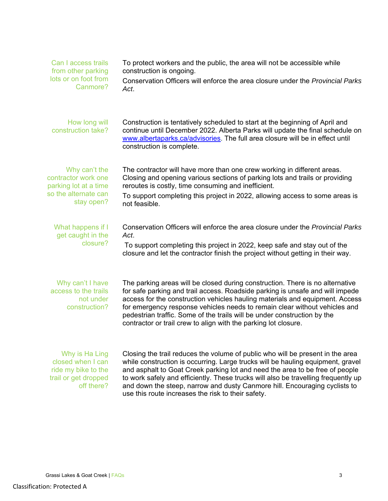| Can I access trails<br>from other parking<br>lots or on foot from<br>Canmore?                       | To protect workers and the public, the area will not be accessible while<br>construction is ongoing.<br>Conservation Officers will enforce the area closure under the Provincial Parks<br>Act.                                                                                                                                                                                                                                                                              |
|-----------------------------------------------------------------------------------------------------|-----------------------------------------------------------------------------------------------------------------------------------------------------------------------------------------------------------------------------------------------------------------------------------------------------------------------------------------------------------------------------------------------------------------------------------------------------------------------------|
| How long will<br>construction take?                                                                 | Construction is tentatively scheduled to start at the beginning of April and<br>continue until December 2022. Alberta Parks will update the final schedule on<br>www.albertaparks.ca/advisories. The full area closure will be in effect until<br>construction is complete.                                                                                                                                                                                                 |
| Why can't the<br>contractor work one<br>parking lot at a time<br>so the alternate can<br>stay open? | The contractor will have more than one crew working in different areas.<br>Closing and opening various sections of parking lots and trails or providing<br>reroutes is costly, time consuming and inefficient.<br>To support completing this project in 2022, allowing access to some areas is<br>not feasible.                                                                                                                                                             |
| What happens if I<br>get caught in the<br>closure?                                                  | Conservation Officers will enforce the area closure under the Provincial Parks<br>Act.<br>To support completing this project in 2022, keep safe and stay out of the<br>closure and let the contractor finish the project without getting in their way.                                                                                                                                                                                                                      |
| Why can't I have<br>access to the trails<br>not under<br>construction?                              | The parking areas will be closed during construction. There is no alternative<br>for safe parking and trail access. Roadside parking is unsafe and will impede<br>access for the construction vehicles hauling materials and equipment. Access<br>for emergency response vehicles needs to remain clear without vehicles and<br>pedestrian traffic. Some of the trails will be under construction by the<br>contractor or trail crew to align with the parking lot closure. |
| Why is Ha Ling<br>closed when I can<br>ride my bike to the<br>trail or get dropped<br>off there?    | Closing the trail reduces the volume of public who will be present in the area<br>while construction is occurring. Large trucks will be hauling equipment, gravel<br>and asphalt to Goat Creek parking lot and need the area to be free of people<br>to work safely and efficiently. These trucks will also be travelling frequently up<br>and down the steep, narrow and dusty Canmore hill. Encouraging cyclists to<br>use this route increases the risk to their safety. |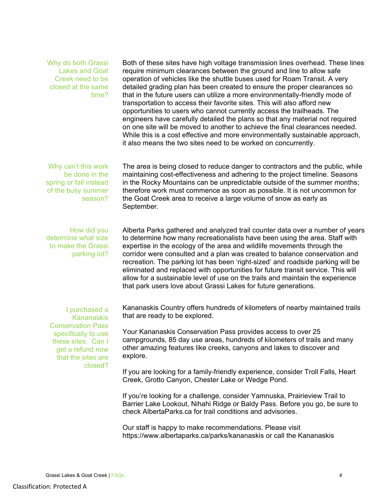Why do both Grassi Lakes and Goat Creek need to be closed at the same time? Both of these sites have high voltage transmission lines overhead. These lines require minimum clearances between the ground and line to allow safe operation of vehicles like the shuttle buses used for Roam Transit. A very detailed grading plan has been created to ensure the proper clearances so that in the future users can utilize a more environmentally-friendly mode of transportation to access their favorite sites. This will also afford new opportunities to users who cannot currently access the trailheads. The engineers have carefully detailed the plans so that any material not required on one site will be moved to another to achieve the final clearances needed. While this is a cost effective and more environmentally sustainable approach, it also means the two sites need to be worked on concurrently. Why can't this work be done in the spring or fall instead of the busy summer season? The area is being closed to reduce danger to contractors and the public, while maintaining cost-effectiveness and adhering to the project timeline. Seasons in the Rocky Mountains can be unpredictable outside of the summer months; therefore work must commence as soon as possible. It is not uncommon for the Goat Creek area to receive a large volume of snow as early as September. How did you determine what size to make the Grassi parking lot? Alberta Parks gathered and analyzed trail counter data over a number of years to determine how many recreationalists have been using the area. Staff with expertise in the ecology of the area and wildlife movements through the corridor were consulted and a plan was created to balance conservation and recreation. The parking lot has been 'right-sized' and roadside parking will be eliminated and replaced with opportunities for future transit service. This will allow for a sustainable level of use on the trails and maintain the experience that park users love about Grassi Lakes for future generations. I purchased a Kananaskis Conservation Pass specifically to use these sites. Can I get a refund now that the sites are closed? Kananaskis Country offers hundreds of kilometers of nearby maintained trails that are ready to be explored. Your Kananaskis Conservation Pass provides access to over 25 campgrounds, 85 day use areas, hundreds of kilometers of trails and many other amazing features like creeks, canyons and lakes to discover and explore. If you are looking for a family-friendly experience, consider Troll Falls, Heart Creek, Grotto Canyon, Chester Lake or Wedge Pond.

> If you're looking for a challenge, consider Yamnuska, Prairieview Trail to Barrier Lake Lookout, Nihahi Ridge or Baldy Pass. Before you go, be sure to check AlbertaParks.ca for trail conditions and advisories.

Our staff is happy to make recommendations. Please visit https://www.albertaparks.ca/parks/kananaskis or call the Kananaskis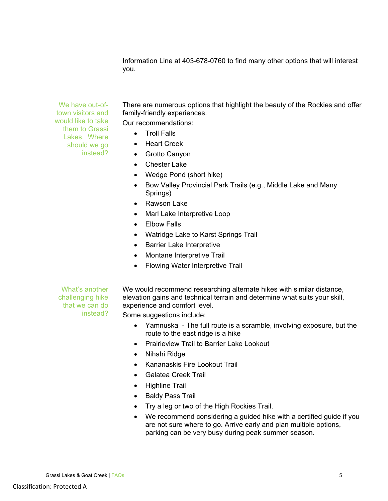Information Line at 403-678-0760 to find many other options that will interest you.

We have out-oftown visitors and would like to take them to Grassi Lakes. Where should we go instead?

There are numerous options that highlight the beauty of the Rockies and offer family-friendly experiences.

Our recommendations:

- Troll Falls
- Heart Creek
- Grotto Canyon
- Chester Lake
- Wedge Pond (short hike)
- Bow Valley Provincial Park Trails (e.g., Middle Lake and Many Springs)
- Rawson Lake
- Marl Lake Interpretive Loop
- Elbow Falls
- Watridge Lake to Karst Springs Trail
- Barrier Lake Interpretive
- Montane Interpretive Trail
- Flowing Water Interpretive Trail

What's another challenging hike that we can do instead?

We would recommend researching alternate hikes with similar distance, elevation gains and technical terrain and determine what suits your skill, experience and comfort level.

Some suggestions include:

- Yamnuska The full route is a scramble, involving exposure, but the route to the east ridge is a hike
- Prairieview Trail to Barrier Lake Lookout
- Nihahi Ridge
- Kananaskis Fire Lookout Trail
- Galatea Creek Trail
- Highline Trail
- Baldy Pass Trail
- Try a leg or two of the High Rockies Trail.
- We recommend considering a guided hike with a certified guide if you are not sure where to go. Arrive early and plan multiple options, parking can be very busy during peak summer season.